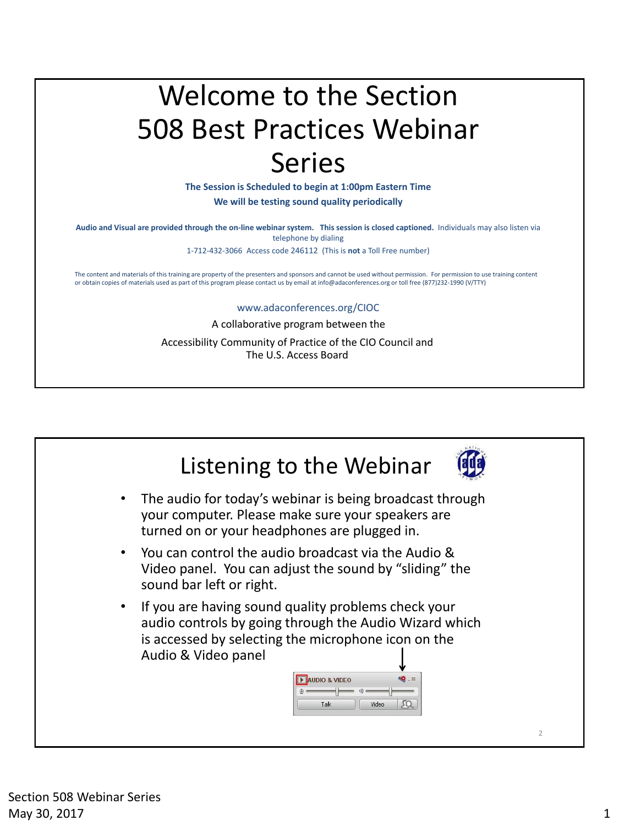## Welcome to the Section 508 Best Practices Webinar Series

**The Session is Scheduled to begin at 1:00pm Eastern Time**

**We will be testing sound quality periodically**

**Audio and Visual are provided through the on-line webinar system. This session is closed captioned.** Individuals may also listen via telephone by dialing

1-712-432-3066 Access code 246112 (This is **not** a Toll Free number)

The content and materials of this training are property of the presenters and sponsors and cannot be used without permission. For permission to use training content or obtain copies of materials used as part of this program please contact us by email at info@adaconferences.org or toll free (877)232-1990 (V/TTY)

#### www.adaconferences.org/CIOC

A collaborative program between the Accessibility Community of Practice of the CIO Council and

The U.S. Access Board

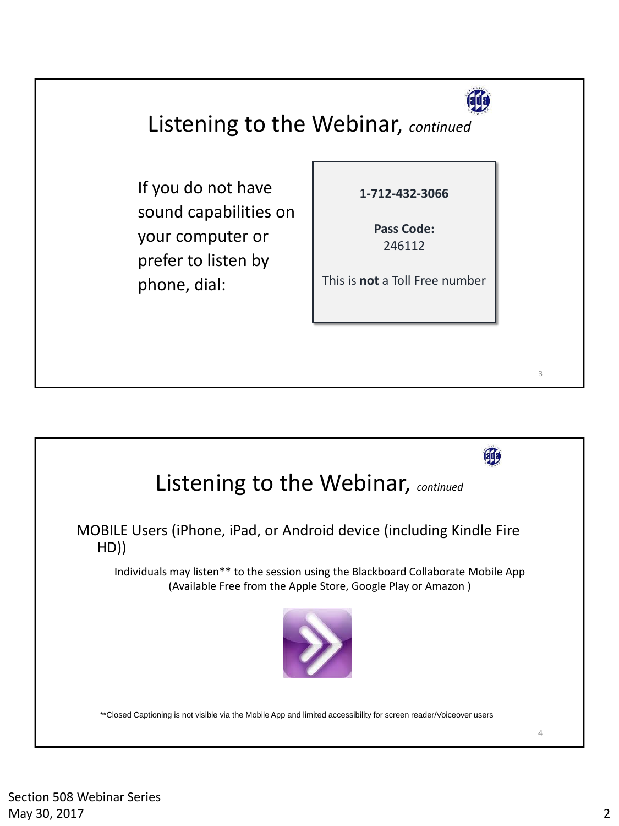

3

#### Listening to the Webinar, *continued*

If you do not have sound capabilities on your computer or prefer to listen by phone, dial:

**1-712-432-3066**

**Pass Code:**  246112

This is **not** a Toll Free number

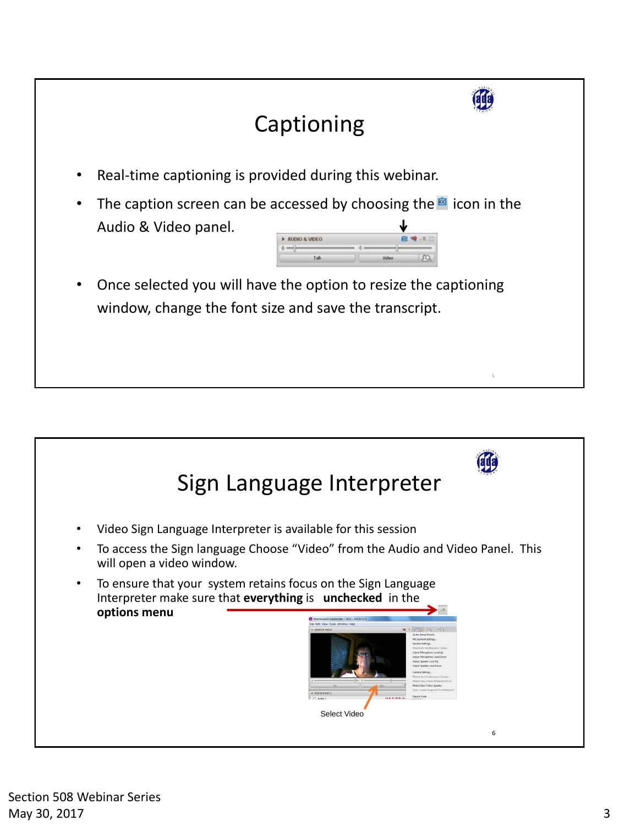

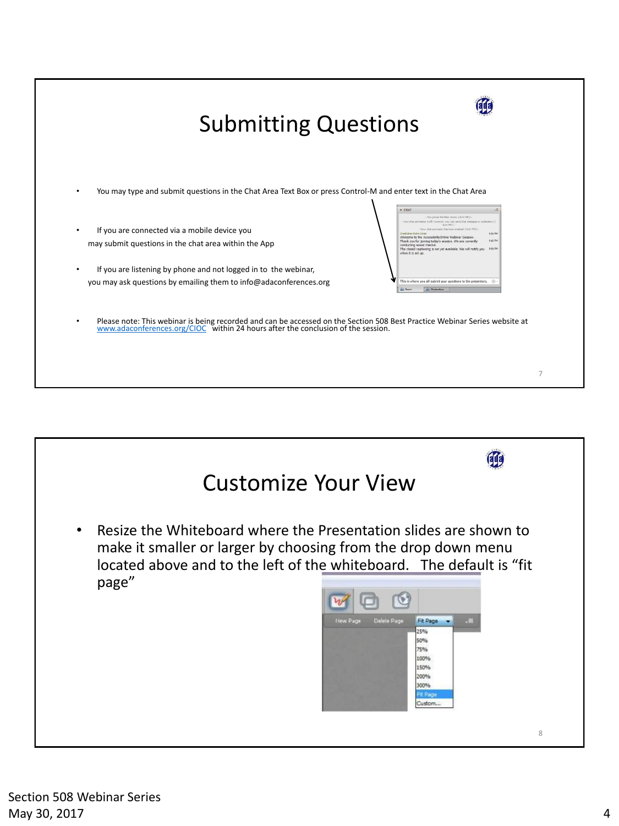

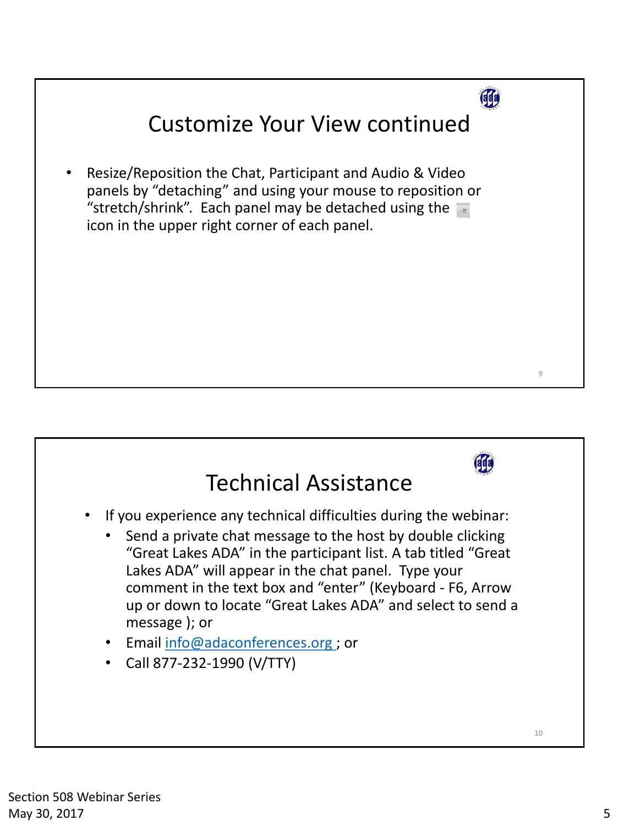

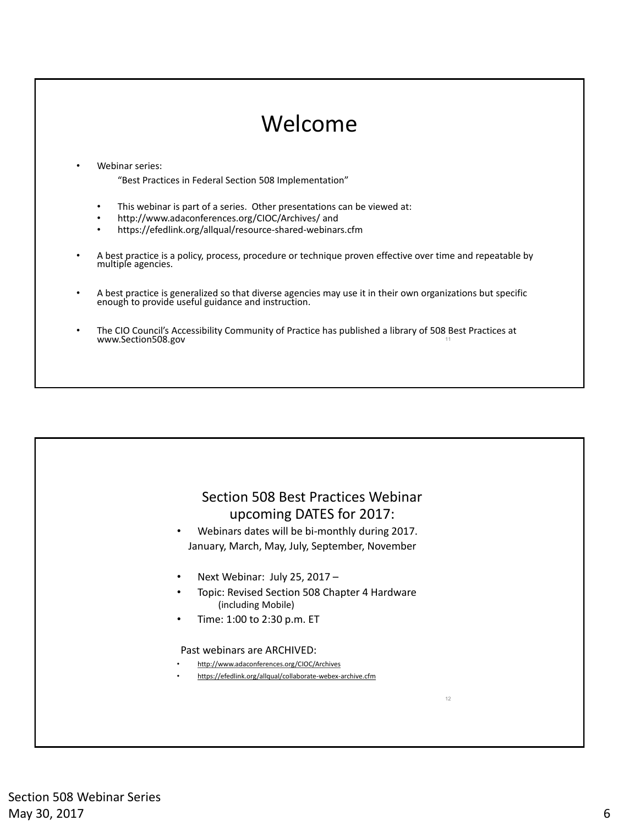#### 11 Webinar series: "Best Practices in Federal Section 508 Implementation" • This webinar is part of a series. Other presentations can be viewed at: • http://www.adaconferences.org/CIOC/Archives/ and • https://efedlink.org/allqual/resource-shared-webinars.cfm • A best practice is a policy, process, procedure or technique proven effective over time and repeatable by multiple agencies. • A best practice is generalized so that diverse agencies may use it in their own organizations but specific enough to provide useful guidance and instruction. • The CIO Council's Accessibility Community of Practice has published a library of 508 Best Practices at www.Section508.gov Welcome

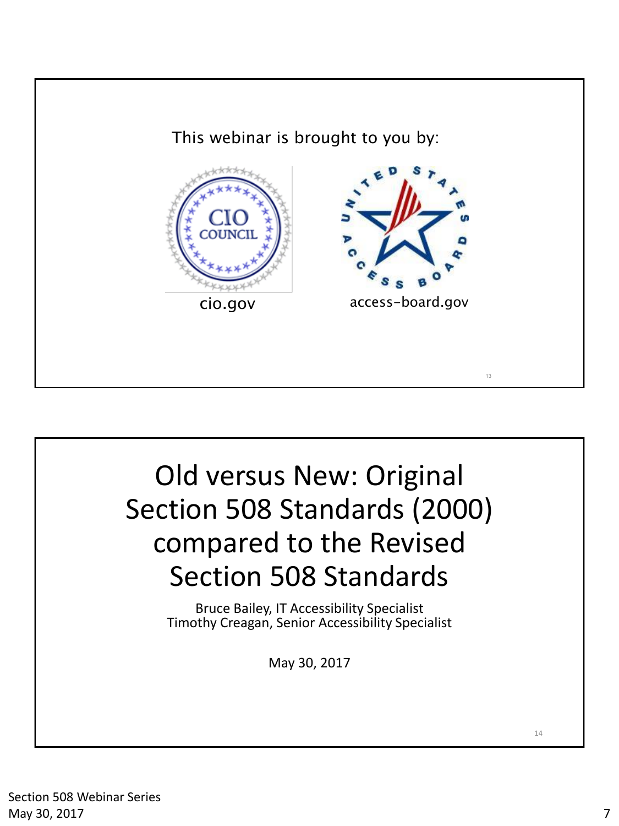



Section 508 Webinar Series May 30, 2017 **7** 2008 **7** 2017 **7** 2018 **7** 2019 **7** 2019 **7** 2019 **7** 2019 **7** 2019 **7** 2019 **7** 2019 **7** 2019 **7** 2019 **7** 2019 **7** 2019 **7** 2019 **7** 2019 **7** 2019 **7** 2019 **7** 2019 **7** 2019 **7** 2019 **7** 2019 **7** 2019 **7**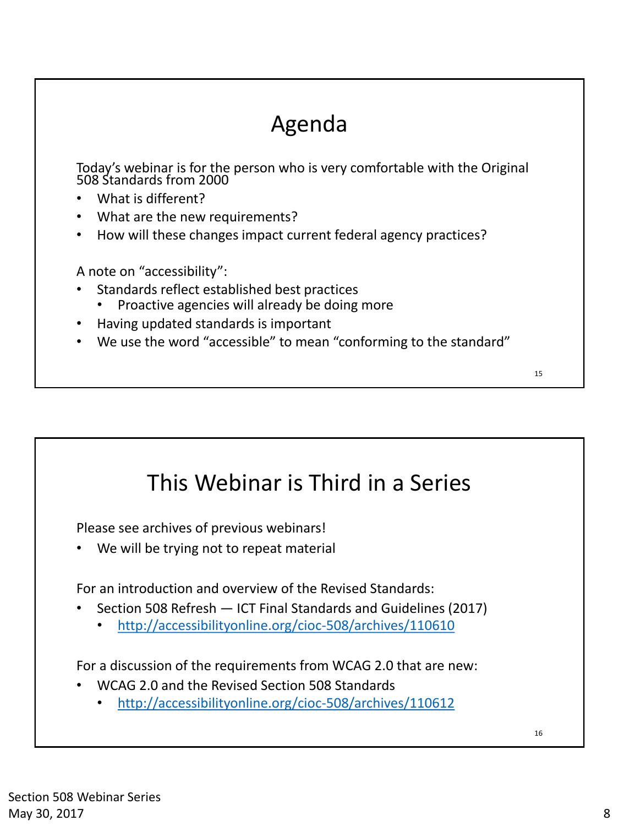## Agenda

Today's webinar is for the person who is very comfortable with the Original 508 Standards from 2000

- What is different?
- What are the new requirements?
- How will these changes impact current federal agency practices?

A note on "accessibility":

- Standards reflect established best practices
	- Proactive agencies will already be doing more
- Having updated standards is important
- We use the word "accessible" to mean "conforming to the standard"

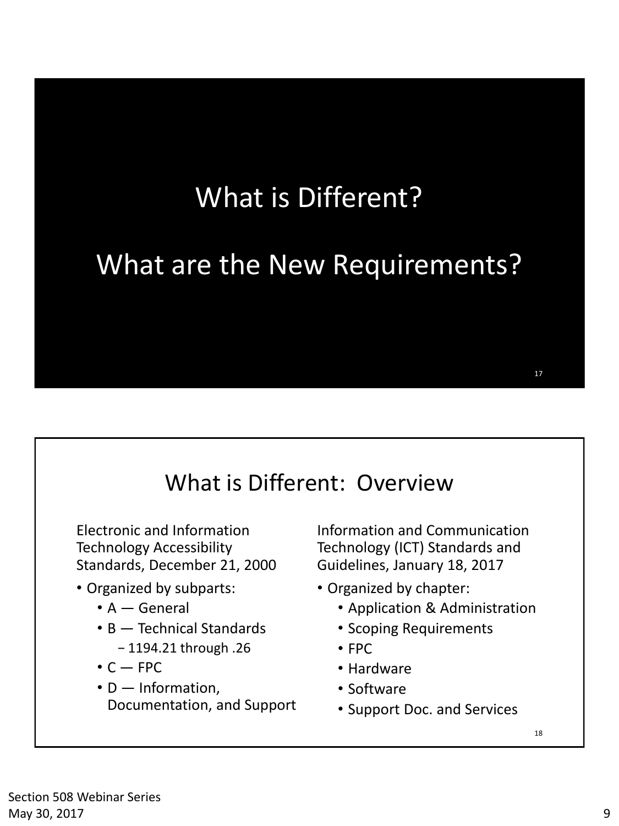## What is Different?

## What are the New Requirements?

#### What is Different: Overview

Electronic and Information Technology Accessibility Standards, December 21, 2000

- Organized by subparts:
	- A General
	- B Technical Standards
		- − 1194.21 through .26
	- $\cdot$  C  $-$  FPC
	- D Information, Documentation, and Support

Information and Communication Technology (ICT) Standards and Guidelines, January 18, 2017

- Organized by chapter:
	- Application & Administration
	- Scoping Requirements
	- FPC
	- Hardware
	- Software
	- Support Doc. and Services

18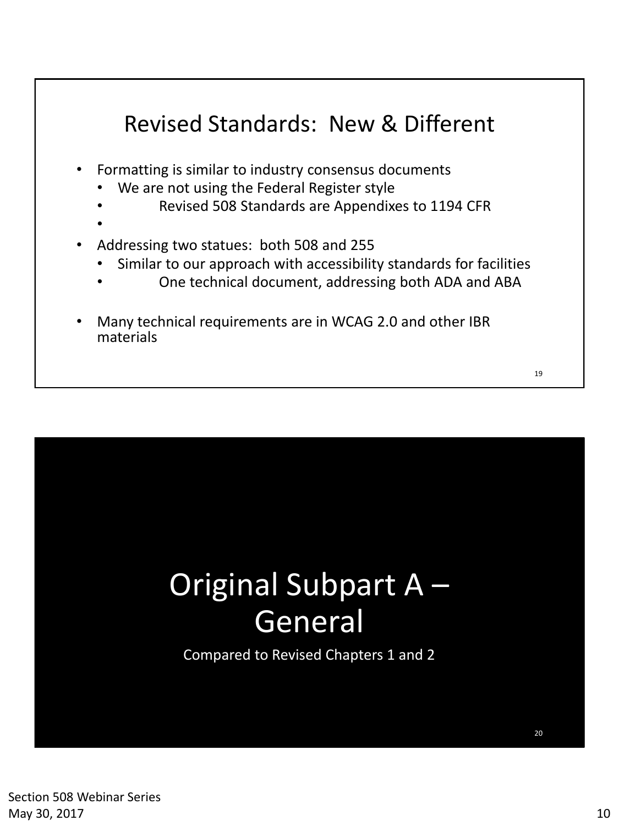#### Revised Standards: New & Different

- Formatting is similar to industry consensus documents
	- We are not using the Federal Register style
	- Revised 508 Standards are Appendixes to 1194 CFR
	- •
- Addressing two statues: both 508 and 255
	- Similar to our approach with accessibility standards for facilities
		- One technical document, addressing both ADA and ABA
- Many technical requirements are in WCAG 2.0 and other IBR materials

20

# Original Subpart A – General

Compared to Revised Chapters 1 and 2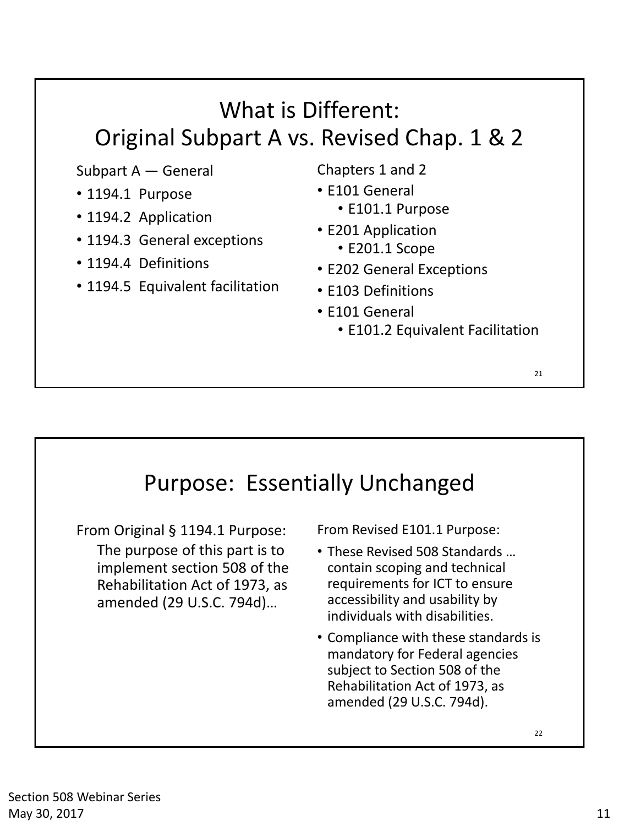### What is Different: Original Subpart A vs. Revised Chap. 1 & 2

Subpart A — General

- 1194.1 Purpose
- 1194.2 Application
- 1194.3 General exceptions
- 1194.4 Definitions
- 1194.5 Equivalent facilitation
- Chapters 1 and 2
- E101 General
	- E101.1 Purpose
- E201 Application
	- E201.1 Scope
- E202 General Exceptions
- E103 Definitions
- E101 General
	- E101.2 Equivalent Facilitation

#### Purpose: Essentially Unchanged

From Original § 1194.1 Purpose: The purpose of this part is to implement section 508 of the Rehabilitation Act of 1973, as amended (29 U.S.C. 794d)…

From Revised E101.1 Purpose:

- These Revised 508 Standards … contain scoping and technical requirements for ICT to ensure accessibility and usability by individuals with disabilities.
- Compliance with these standards is mandatory for Federal agencies subject to Section 508 of the Rehabilitation Act of 1973, as amended (29 U.S.C. 794d).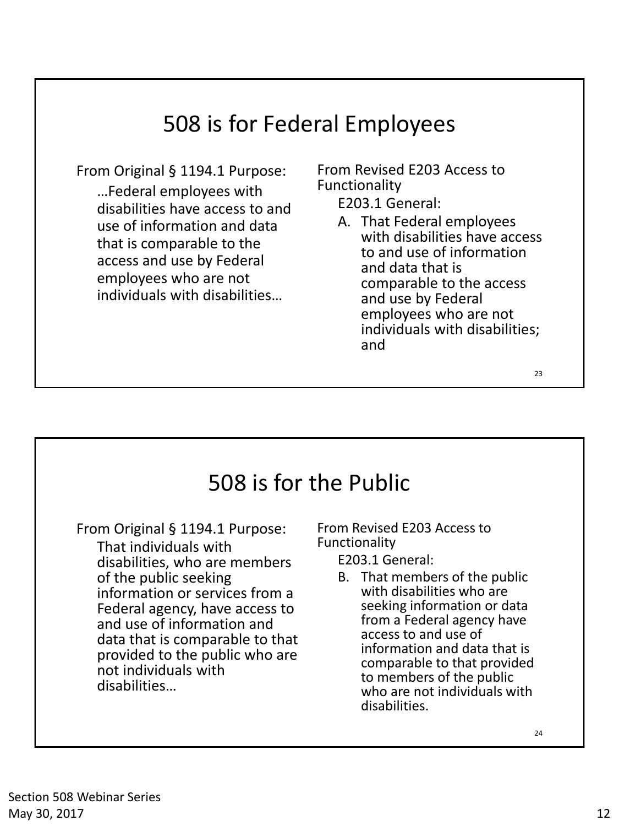### 508 is for Federal Employees

From Original § 1194.1 Purpose: …Federal employees with disabilities have access to and use of information and data that is comparable to the access and use by Federal employees who are not individuals with disabilities…

From Revised E203 Access to Functionality

E203.1 General:

A. That Federal employees with disabilities have access to and use of information and data that is comparable to the access and use by Federal employees who are not individuals with disabilities; and

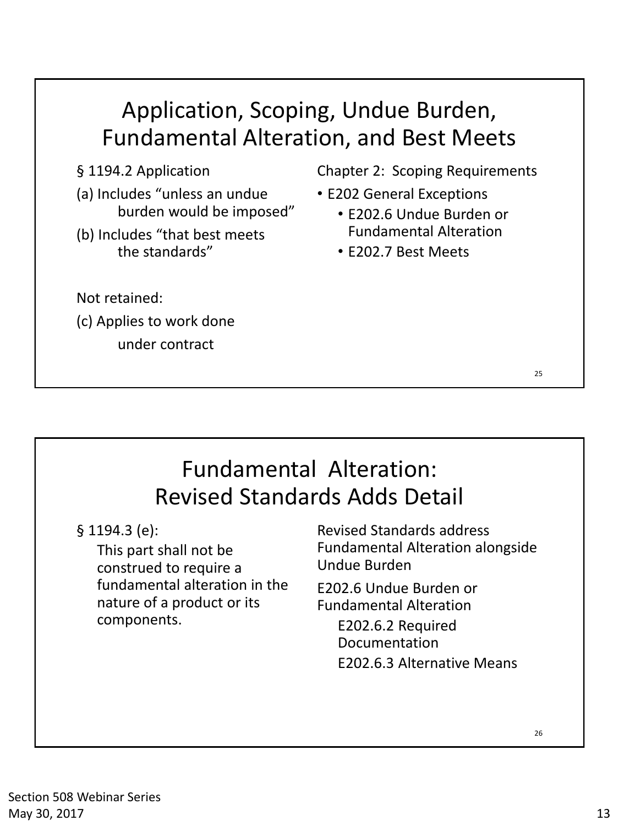§ 1194.2 Application

- (a) Includes "unless an undue burden would be imposed"
- (b) Includes "that best meets the standards"

Chapter 2: Scoping Requirements

- E202 General Exceptions
	- E202.6 Undue Burden or Fundamental Alteration
	- E202.7 Best Meets

Not retained:

(c) Applies to work done

under contract

#### 25

### Fundamental Alteration: Revised Standards Adds Detail

§ 1194.3 (e):

This part shall not be construed to require a fundamental alteration in the nature of a product or its components.

Revised Standards address Fundamental Alteration alongside Undue Burden

E202.6 Undue Burden or Fundamental Alteration

> E202.6.2 Required Documentation E202.6.3 Alternative Means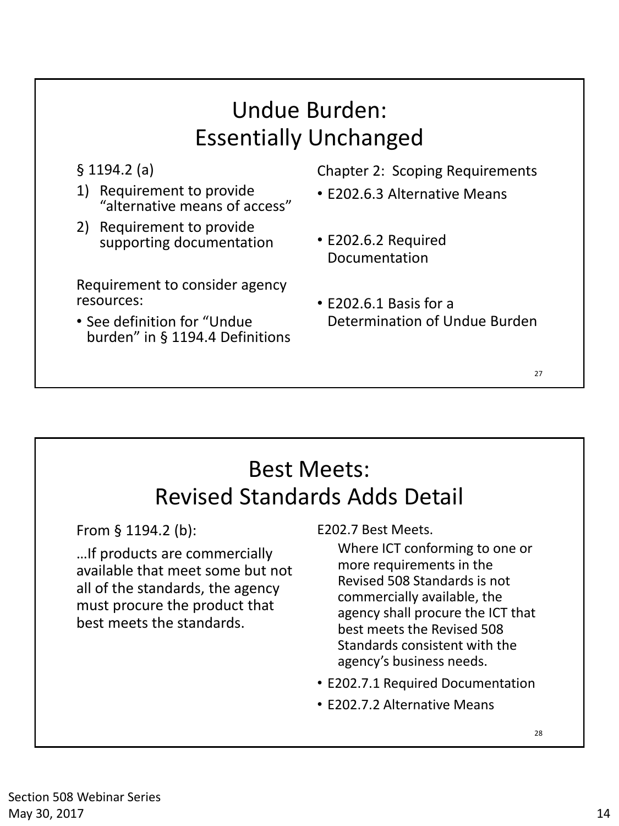#### Undue Burden: Essentially Unchanged

§ 1194.2 (a)

- 1) Requirement to provide "alternative means of access"
- 2) Requirement to provide supporting documentation

Requirement to consider agency resources:

• See definition for "Undue burden" in § 1194.4 Definitions Chapter 2: Scoping Requirements

- E202.6.3 Alternative Means
- E202.6.2 Required Documentation
- E202.6.1 Basis for a Determination of Undue Burden

#### 27

#### Best Meets: Revised Standards Adds Detail

From § 1194.2 (b):

…If products are commercially available that meet some but not all of the standards, the agency must procure the product that best meets the standards.

E202.7 Best Meets.

Where ICT conforming to one or more requirements in the Revised 508 Standards is not commercially available, the agency shall procure the ICT that best meets the Revised 508 Standards consistent with the agency's business needs.

- E202.7.1 Required Documentation
- E202.7.2 Alternative Means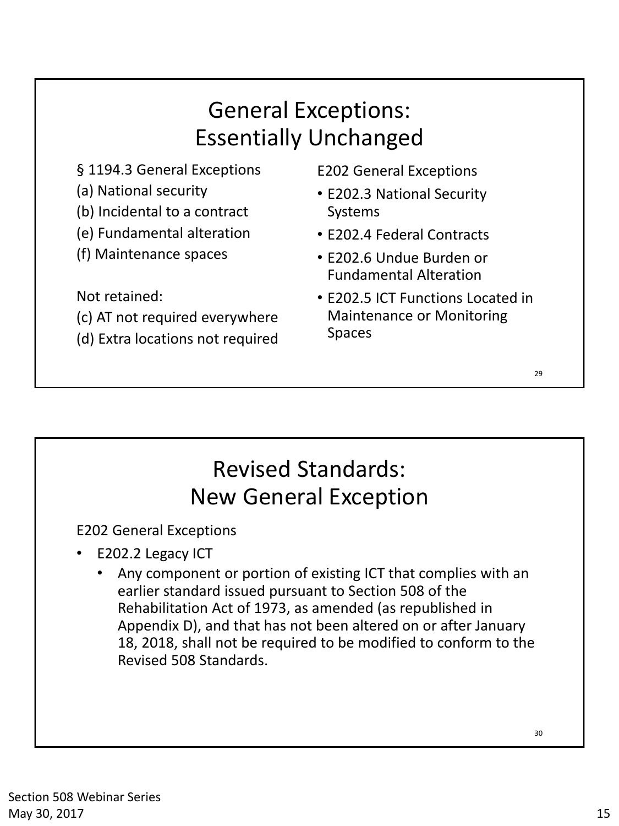#### General Exceptions: Essentially Unchanged

- § 1194.3 General Exceptions
- (a) National security
- (b) Incidental to a contract
- (e) Fundamental alteration
- (f) Maintenance spaces

Not retained:

- (c) AT not required everywhere
- (d) Extra locations not required

E202 General Exceptions

- E202.3 National Security Systems
- E202.4 Federal Contracts
- E202.6 Undue Burden or Fundamental Alteration
- E202.5 ICT Functions Located in Maintenance or Monitoring Spaces

## Revised Standards: New General Exception

E202 General Exceptions

- E202.2 Legacy ICT
	- Any component or portion of existing ICT that complies with an earlier standard issued pursuant to Section 508 of the Rehabilitation Act of 1973, as amended (as republished in Appendix D), and that has not been altered on or after January 18, 2018, shall not be required to be modified to conform to the Revised 508 Standards.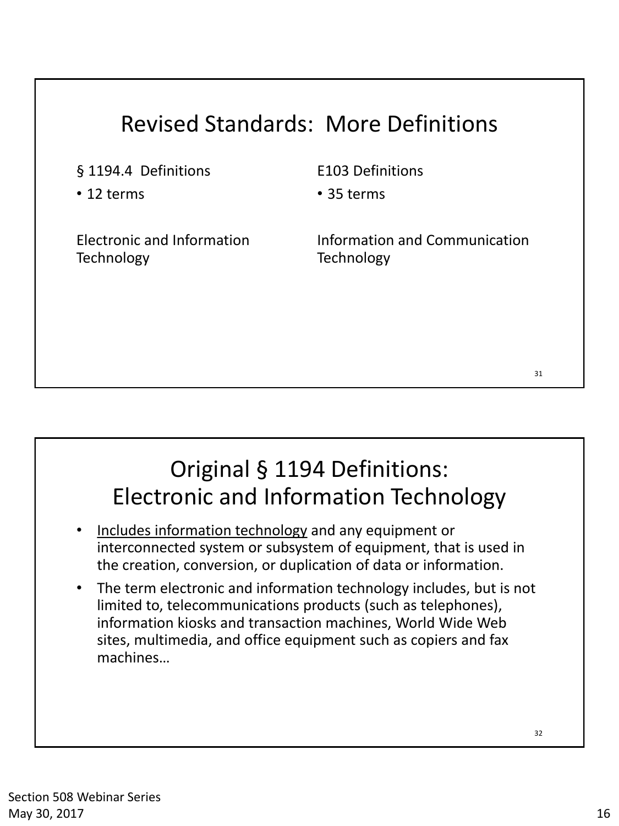### Revised Standards: More Definitions

§ 1194.4 Definitions

• 12 terms

E103 Definitions

• 35 terms

Electronic and Information **Technology** 

Information and Communication **Technology** 

### Original § 1194 Definitions: Electronic and Information Technology

- Includes information technology and any equipment or interconnected system or subsystem of equipment, that is used in the creation, conversion, or duplication of data or information.
- The term electronic and information technology includes, but is not limited to, telecommunications products (such as telephones), information kiosks and transaction machines, World Wide Web sites, multimedia, and office equipment such as copiers and fax machines…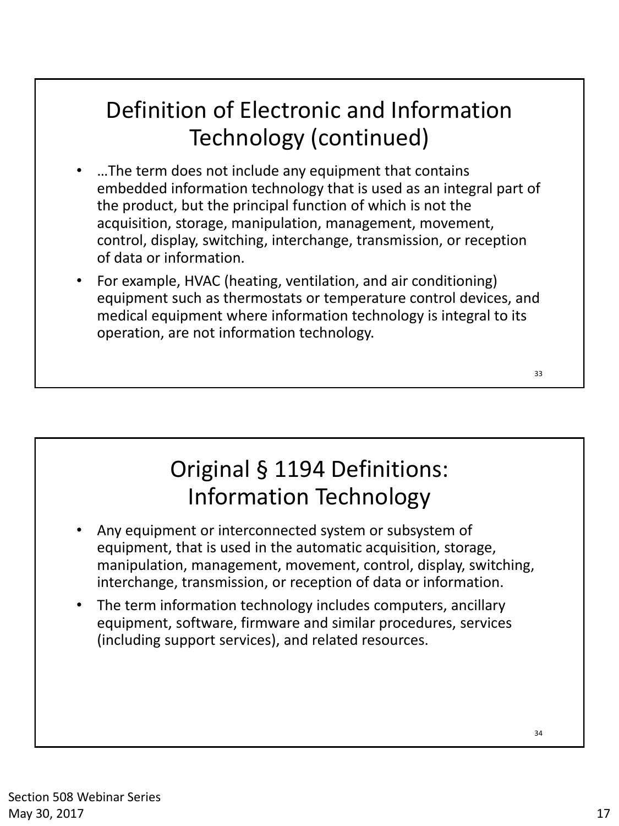## Definition of Electronic and Information Technology (continued)

- …The term does not include any equipment that contains embedded information technology that is used as an integral part of the product, but the principal function of which is not the acquisition, storage, manipulation, management, movement, control, display, switching, interchange, transmission, or reception of data or information.
- For example, HVAC (heating, ventilation, and air conditioning) equipment such as thermostats or temperature control devices, and medical equipment where information technology is integral to its operation, are not information technology.

### Original § 1194 Definitions: Information Technology

- Any equipment or interconnected system or subsystem of equipment, that is used in the automatic acquisition, storage, manipulation, management, movement, control, display, switching, interchange, transmission, or reception of data or information.
- The term information technology includes computers, ancillary equipment, software, firmware and similar procedures, services (including support services), and related resources.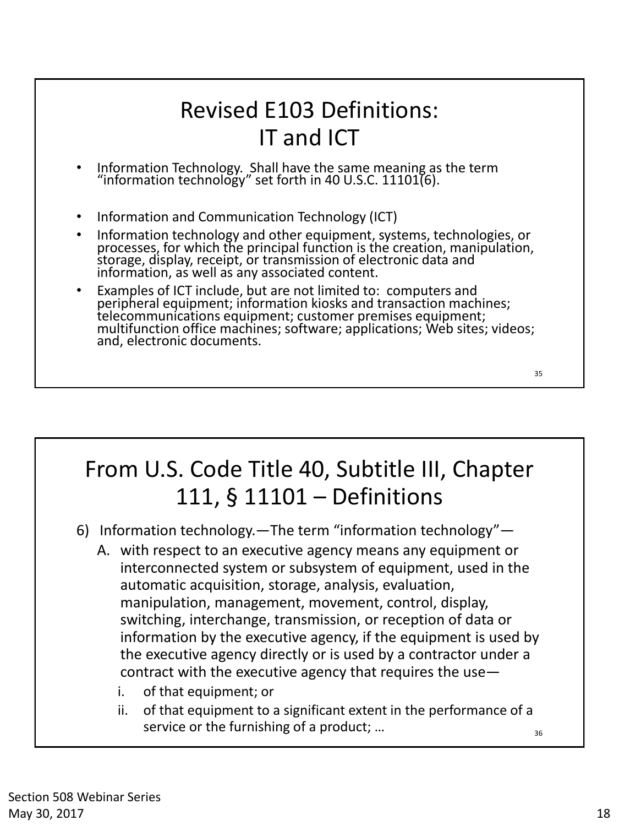### Revised E103 Definitions: IT and ICT

- Information Technology. Shall have the same meaning as the term "information technology" set forth in 40 U.S.C. 11101(6).
- Information and Communication Technology (ICT)
- Information technology and other equipment, systems, technologies, or processes, for which the principal function is the creation, manipulation, storage, display, receipt, or transmission of electronic data and information, as well as any associated content.
- Examples of ICT include, but are not limited to: computers and peripheral equipment; information kiosks and transaction machines; telecommunications equipment; customer premises equipment; multifunction office machines; software; applications; Web sites; videos; and, electronic documents.

## From U.S. Code Title 40, Subtitle III, Chapter 111, § 11101 – Definitions

- 6) Information technology.—The term "information technology"—
	- A. with respect to an executive agency means any equipment or interconnected system or subsystem of equipment, used in the automatic acquisition, storage, analysis, evaluation, manipulation, management, movement, control, display, switching, interchange, transmission, or reception of data or information by the executive agency, if the equipment is used by the executive agency directly or is used by a contractor under a contract with the executive agency that requires the use
		- i. of that equipment; or
		- 36 ii. of that equipment to a significant extent in the performance of a service or the furnishing of a product; …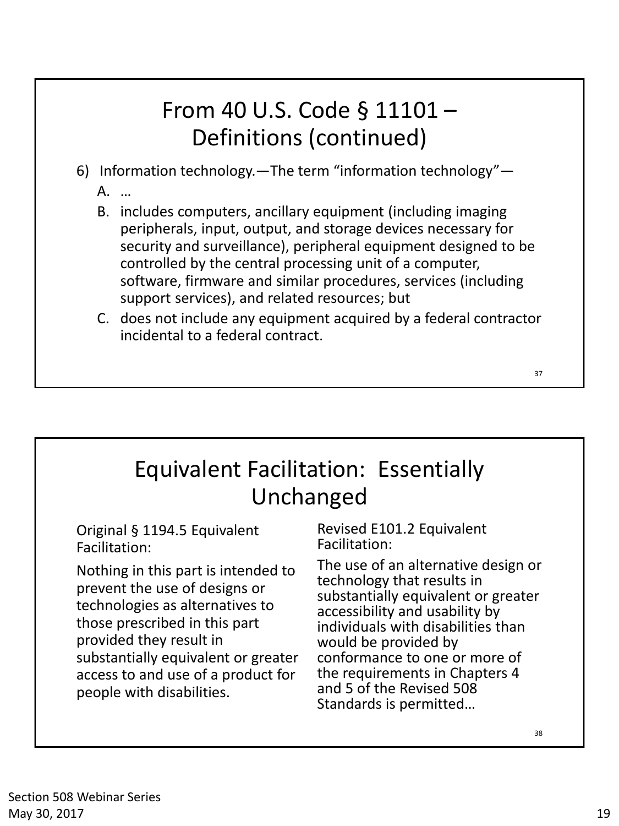### From 40 U.S. Code § 11101 – Definitions (continued)

- 6) Information technology.—The term "information technology"— A. …
	- B. includes computers, ancillary equipment (including imaging peripherals, input, output, and storage devices necessary for security and surveillance), peripheral equipment designed to be controlled by the central processing unit of a computer, software, firmware and similar procedures, services (including support services), and related resources; but
	- C. does not include any equipment acquired by a federal contractor incidental to a federal contract.

### Equivalent Facilitation: Essentially Unchanged

Original § 1194.5 Equivalent Facilitation:

Nothing in this part is intended to prevent the use of designs or technologies as alternatives to those prescribed in this part provided they result in substantially equivalent or greater access to and use of a product for people with disabilities.

Revised E101.2 Equivalent Facilitation:

The use of an alternative design or technology that results in substantially equivalent or greater accessibility and usability by individuals with disabilities than would be provided by conformance to one or more of the requirements in Chapters 4 and 5 of the Revised 508 Standards is permitted…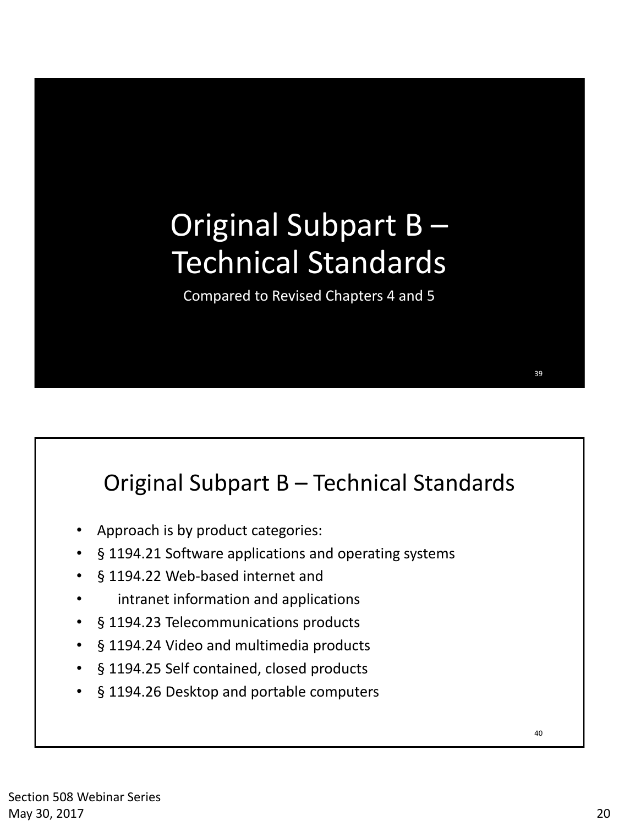# Original Subpart B – Technical Standards

Compared to Revised Chapters 4 and 5

#### Original Subpart B – Technical Standards

- Approach is by product categories:
- § 1194.21 Software applications and operating systems
- § 1194.22 Web-based internet and
- intranet information and applications
- § 1194.23 Telecommunications products
- § 1194.24 Video and multimedia products
- § 1194.25 Self contained, closed products
- § 1194.26 Desktop and portable computers

40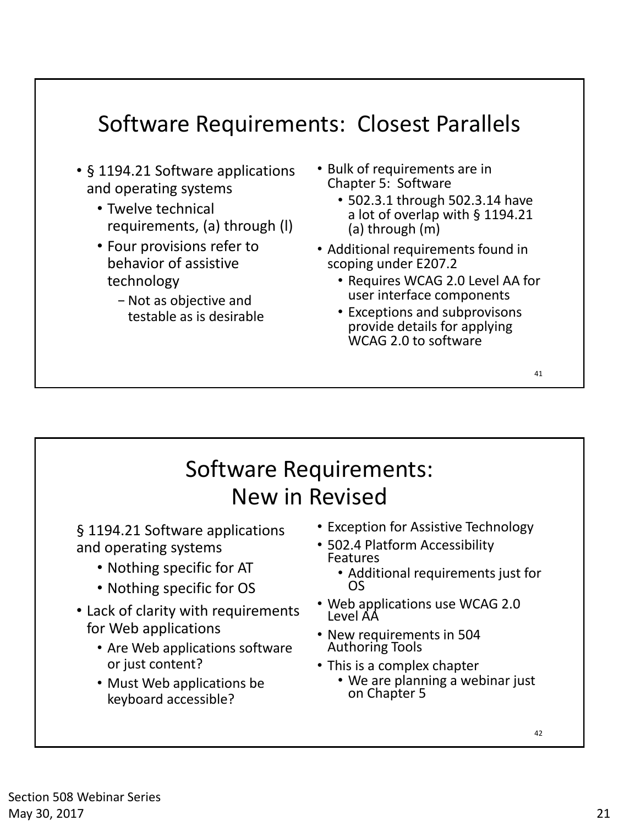#### Software Requirements: Closest Parallels

- § 1194.21 Software applications and operating systems
	- Twelve technical requirements, (a) through (l)
	- Four provisions refer to behavior of assistive technology
		- − Not as objective and testable as is desirable
- Bulk of requirements are in Chapter 5: Software
	- 502.3.1 through 502.3.14 have a lot of overlap with § 1194.21 (a) through (m)
- Additional requirements found in scoping under E207.2
	- Requires WCAG 2.0 Level AA for user interface components
	- Exceptions and subprovisons provide details for applying WCAG 2.0 to software

41

#### Software Requirements: New in Revised

§ 1194.21 Software applications and operating systems

- Nothing specific for AT
- Nothing specific for OS
- Lack of clarity with requirements for Web applications
	- Are Web applications software or just content?
	- Must Web applications be keyboard accessible?
- Exception for Assistive Technology
- 502.4 Platform Accessibility Features
	- Additional requirements just for OS
- Web applications use WCAG 2.0 Level AA
- New requirements in 504 Authoring Tools
- This is a complex chapter
	- We are planning a webinar just on Chapter 5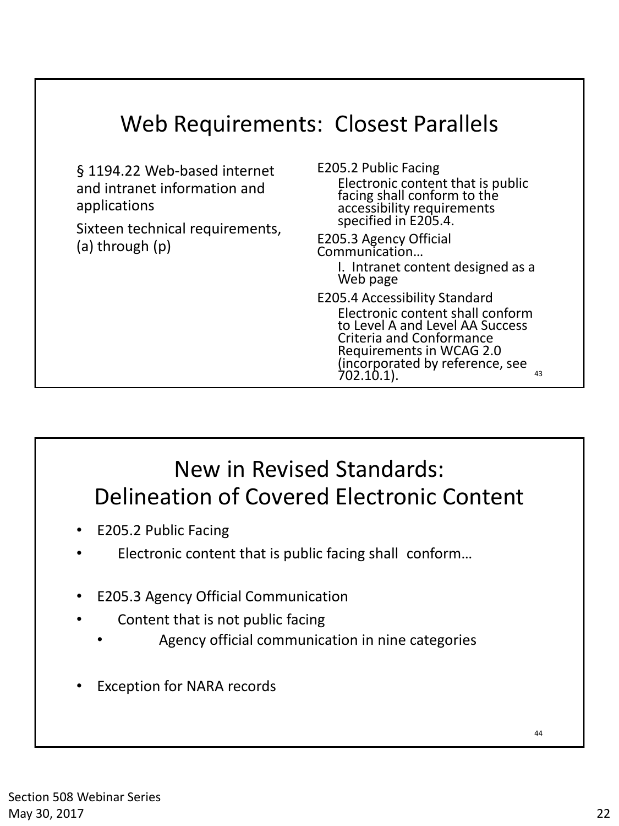| <b>Web Requirements: Closest Parallels</b>                                                                                         |                                                                                                                                                                                                                                                                                                                                                                                                                                                                   |
|------------------------------------------------------------------------------------------------------------------------------------|-------------------------------------------------------------------------------------------------------------------------------------------------------------------------------------------------------------------------------------------------------------------------------------------------------------------------------------------------------------------------------------------------------------------------------------------------------------------|
| § 1194.22 Web-based internet<br>and intranet information and<br>applications<br>Sixteen technical requirements,<br>(a) through (p) | E205.2 Public Facing<br>Electronic content that is public<br>facing shall conform to the<br>accessibility requirements<br>specified in E205.4.<br>E205.3 Agency Official<br>Communication<br>I. Intranet content designed as a<br>Web page<br>E205.4 Accessibility Standard<br>Electronic content shall conform<br>to Level A and Level AA Success<br>Criteria and Conformance<br>Requirements in WCAG 2.0<br>(incorporated by reference, see<br>702.10.1).<br>43 |

#### New in Revised Standards: Delineation of Covered Electronic Content

- E205.2 Public Facing
- Electronic content that is public facing shall conform...
- E205.3 Agency Official Communication
- Content that is not public facing
	- Agency official communication in nine categories
- Exception for NARA records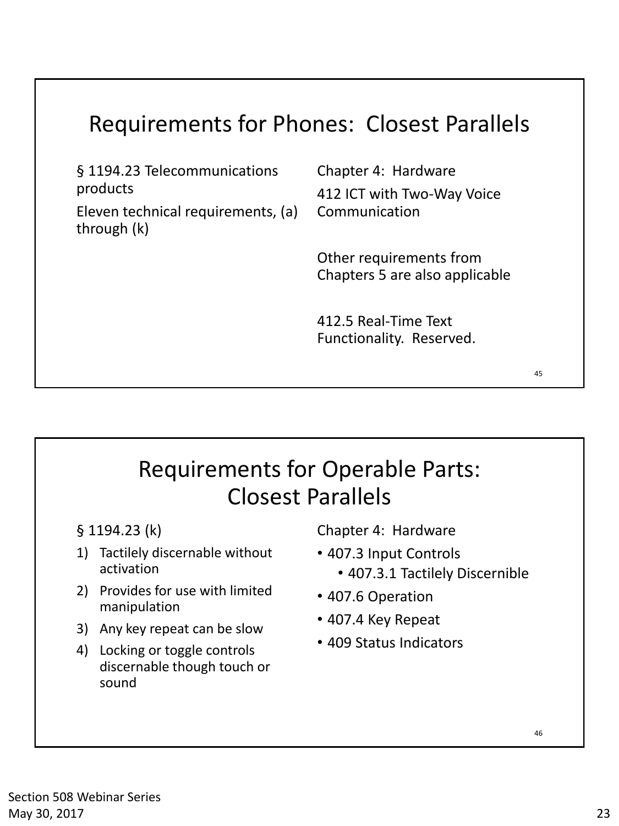### Requirements for Phones: Closest Parallels

§ 1194.23 Telecommunications products

Eleven technical requirements, (a) through (k)

Chapter 4: Hardware 412 ICT with Two-Way Voice Communication

Other requirements from Chapters 5 are also applicable

412.5 Real-Time Text Functionality. Reserved.

### Requirements for Operable Parts: Closest Parallels

- § 1194.23 (k)
- 1) Tactilely discernable without activation
- 2) Provides for use with limited manipulation
- 3) Any key repeat can be slow
- 4) Locking or toggle controls discernable though touch or sound

Chapter 4: Hardware

- 407.3 Input Controls • 407.3.1 Tactilely Discernible
- 407.6 Operation
- 407.4 Key Repeat
- 409 Status Indicators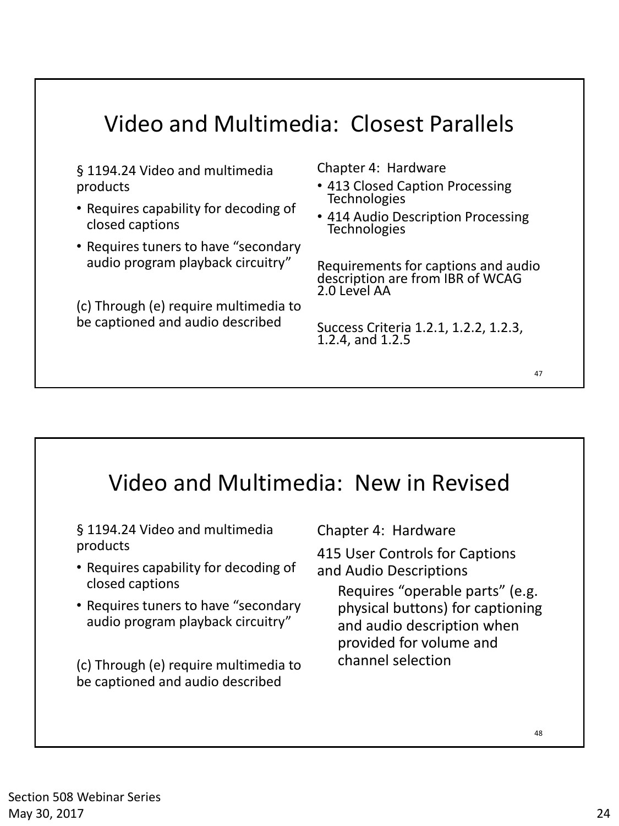#### Video and Multimedia: Closest Parallels

§ 1194.24 Video and multimedia products

- Requires capability for decoding of closed captions
- Requires tuners to have "secondary audio program playback circuitry"

(c) Through (e) require multimedia to be captioned and audio described

Chapter 4: Hardware

- 413 Closed Caption Processing Technologies
- 414 Audio Description Processing **Technologies**

Requirements for captions and audio description are from IBR of WCAG 2.0 Level AA

Success Criteria 1.2.1, 1.2.2, 1.2.3, 1.2.4, and 1.2.5

#### 48 Video and Multimedia: New in Revised § 1194.24 Video and multimedia products • Requires capability for decoding of closed captions • Requires tuners to have "secondary audio program playback circuitry" (c) Through (e) require multimedia to be captioned and audio described Chapter 4: Hardware 415 User Controls for Captions and Audio Descriptions Requires "operable parts" (e.g. physical buttons) for captioning and audio description when provided for volume and channel selection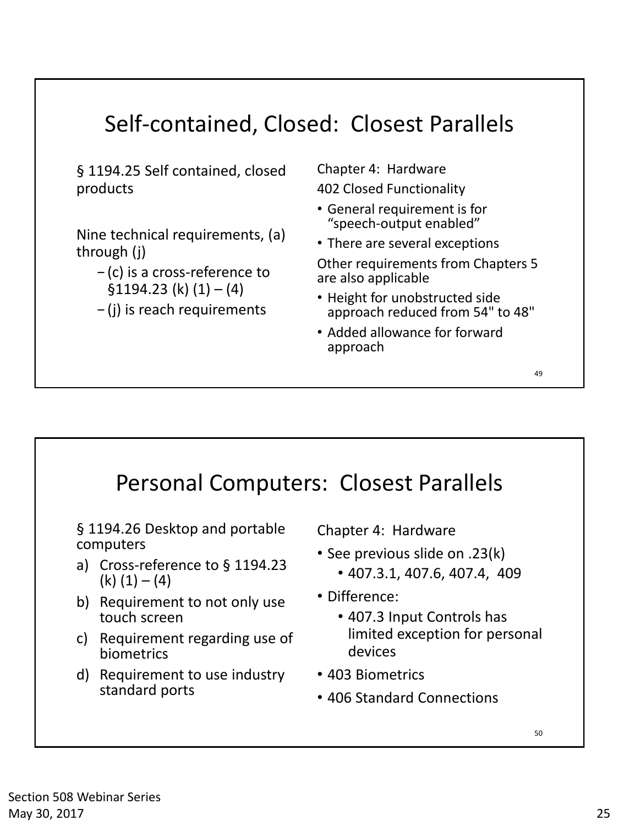#### Self-contained, Closed: Closest Parallels

§ 1194.25 Self contained, closed products

Nine technical requirements, (a) through (j)

− (c) is a cross-reference to  $$1194.23 (k) (1) - (4)$ 

− (j) is reach requirements

Chapter 4: Hardware 402 Closed Functionality

- General requirement is for "speech-output enabled"
- There are several exceptions

Other requirements from Chapters 5 are also applicable

- Height for unobstructed side approach reduced from 54" to 48"
- Added allowance for forward approach



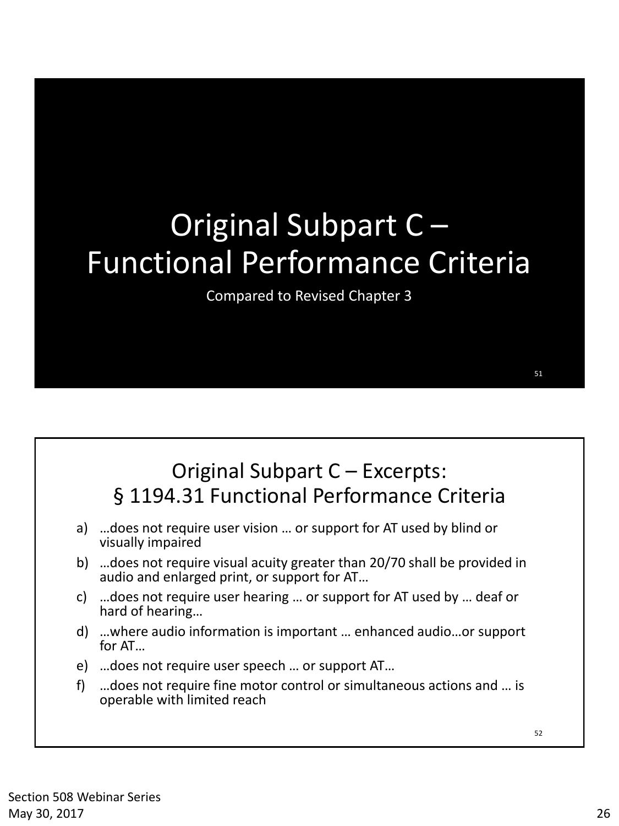# Original Subpart C – Functional Performance Criteria

Compared to Revised Chapter 3

#### Original Subpart C – Excerpts: § 1194.31 Functional Performance Criteria

- a) …does not require user vision … or support for AT used by blind or visually impaired
- b) …does not require visual acuity greater than 20/70 shall be provided in audio and enlarged print, or support for AT…
- c) …does not require user hearing … or support for AT used by … deaf or hard of hearing…
- d) …where audio information is important … enhanced audio…or support for AT…
- e) …does not require user speech … or support AT…
- f) …does not require fine motor control or simultaneous actions and … is operable with limited reach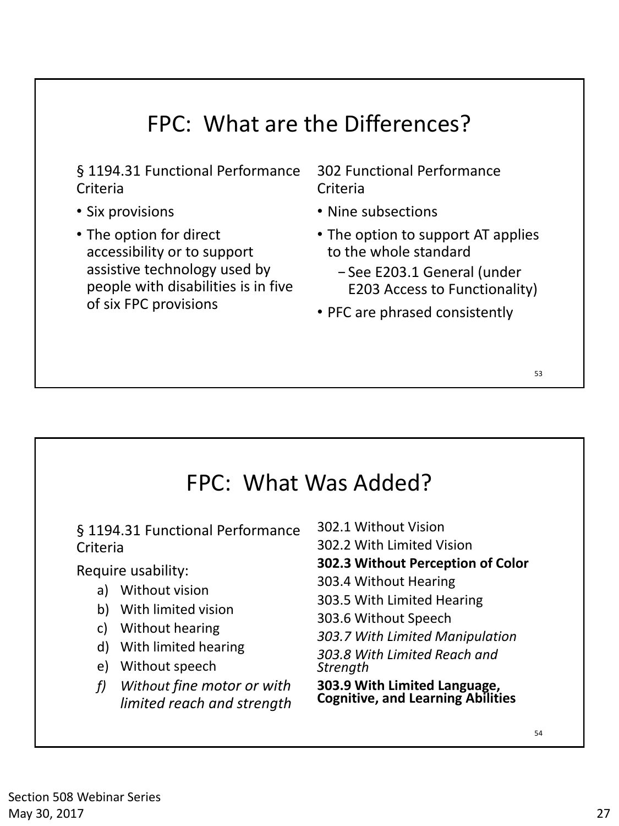#### FPC: What are the Differences?

§ 1194.31 Functional Performance Criteria

- Six provisions
- The option for direct accessibility or to support assistive technology used by people with disabilities is in five of six FPC provisions

302 Functional Performance Criteria

- Nine subsections
- The option to support AT applies to the whole standard
	- − See E203.1 General (under E203 Access to Functionality)
- PFC are phrased consistently

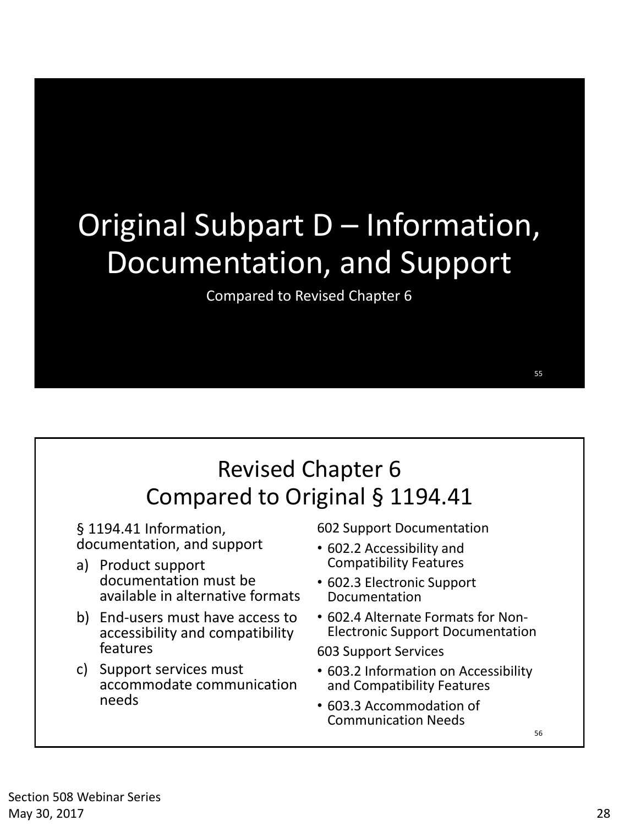# Original Subpart D – Information, Documentation, and Support

Compared to Revised Chapter 6

§ 1194.41 Information, documentation, and support

- a) Product support documentation must be available in alternative formats
- b) End-users must have access to accessibility and compatibility features
- c) Support services must accommodate communication needs

602 Support Documentation

- 602.2 Accessibility and Compatibility Features
- 602.3 Electronic Support Documentation
- 602.4 Alternate Formats for Non-Electronic Support Documentation

603 Support Services

- 603.2 Information on Accessibility and Compatibility Features
- 603.3 Accommodation of Communication Needs

56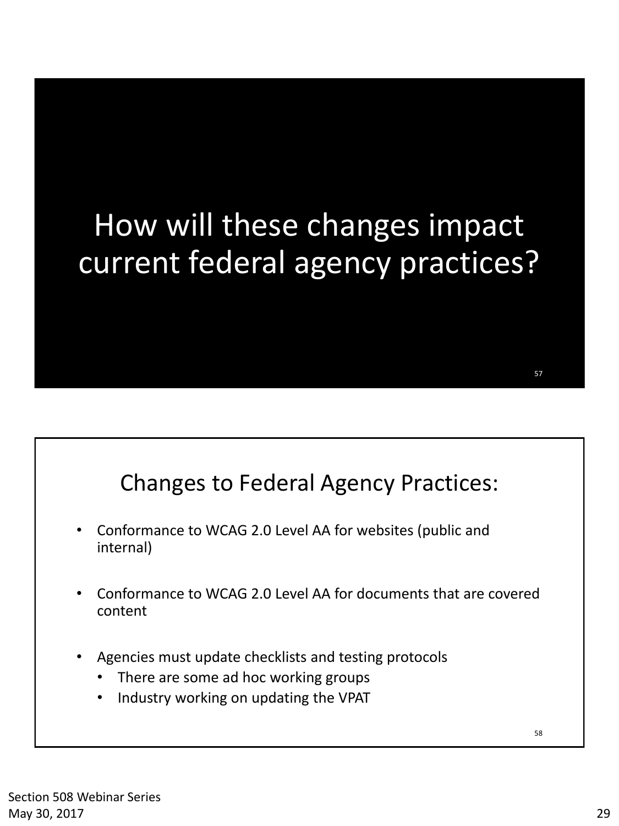# How will these changes impact current federal agency practices?

#### Changes to Federal Agency Practices:

- Conformance to WCAG 2.0 Level AA for websites (public and internal)
- Conformance to WCAG 2.0 Level AA for documents that are covered content
- Agencies must update checklists and testing protocols
	- There are some ad hoc working groups
	- Industry working on updating the VPAT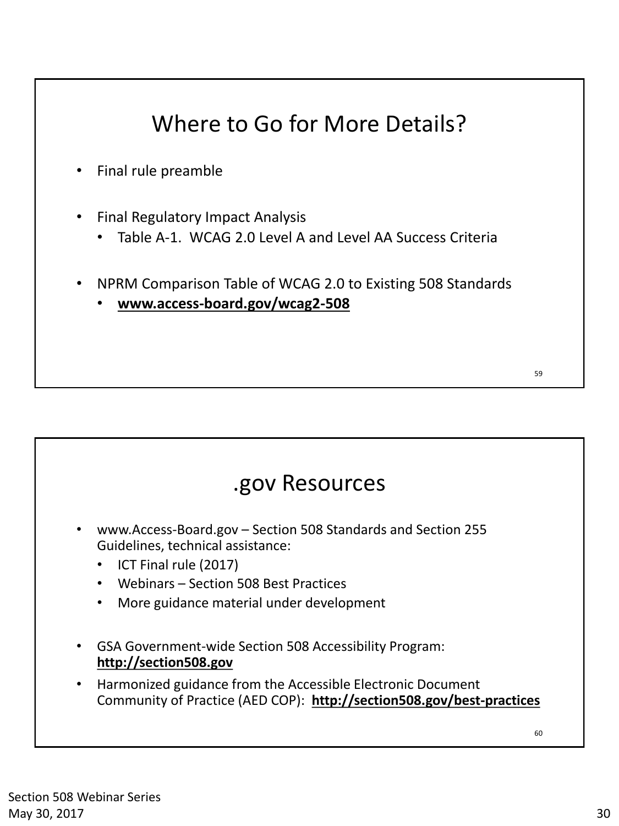## Where to Go for More Details?

- Final rule preamble
- Final Regulatory Impact Analysis
	- Table A-1. WCAG 2.0 Level A and Level AA Success Criteria
- NPRM Comparison Table of WCAG 2.0 to Existing 508 Standards
	- **www.access-board.gov/wcag2-508**

#### 60 .gov Resources • www.Access-Board.gov – Section 508 Standards and Section 255 Guidelines, technical assistance: • ICT Final rule (2017) • Webinars – Section 508 Best Practices • More guidance material under development • GSA Government-wide Section 508 Accessibility Program: **http://section508.gov**  • Harmonized guidance from the Accessible Electronic Document Community of Practice (AED COP): **http://section508.gov/best-practices**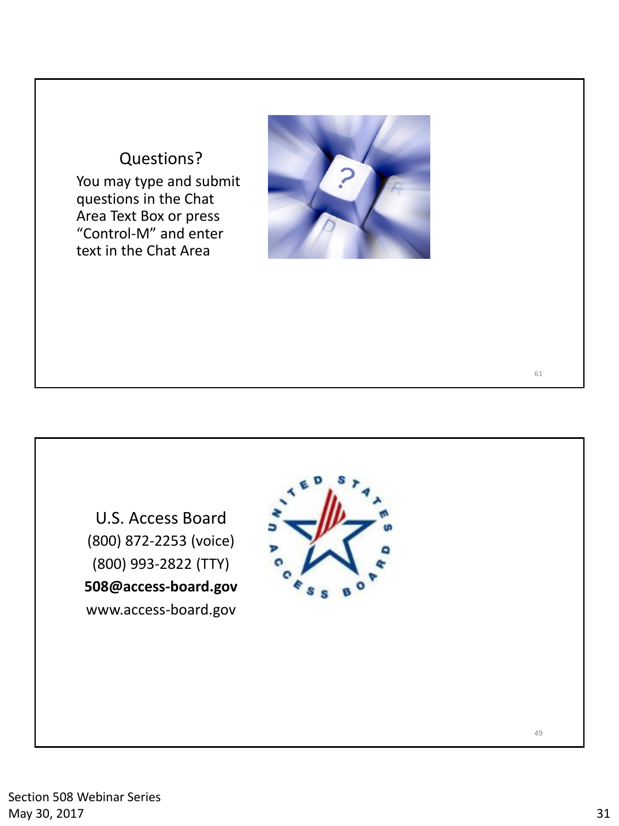#### Questions? You may type and submit questions in the Chat Area Text Box or press "Control-M" and enter text in the Chat Area



U.S. Access Board (800) 872-2253 (voice) (800) 993-2822 (TTY) **508@access-board.gov** www.access-board.gov